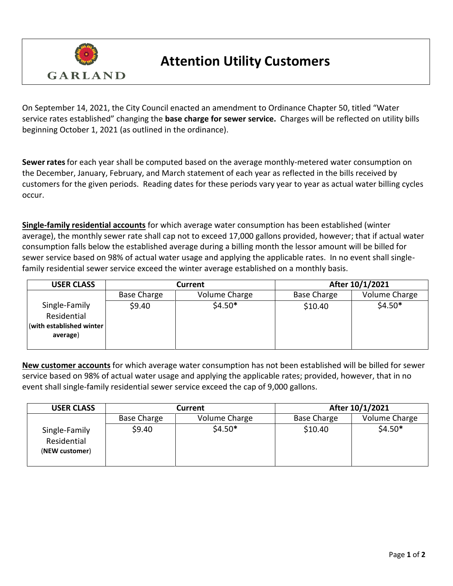

## **Attention Utility Customers**

On September 14, 2021, the City Council enacted an amendment to Ordinance Chapter 50, titled "Water service rates established" changing the **base charge for sewer service.** Charges will be reflected on utility bills beginning October 1, 2021 (as outlined in the ordinance).

**Sewer rates** for each year shall be computed based on the average monthly-metered water consumption on the December, January, February, and March statement of each year as reflected in the bills received by customers for the given periods. Reading dates for these periods vary year to year as actual water billing cycles occur.

**Single-family residential accounts** for which average water consumption has been established (winter average), the monthly sewer rate shall cap not to exceed 17,000 gallons provided, however; that if actual water consumption falls below the established average during a billing month the lessor amount will be billed for sewer service based on 98% of actual water usage and applying the applicable rates. In no event shall singlefamily residential sewer service exceed the winter average established on a monthly basis.

| <b>USER CLASS</b>                                                     | Current            |               | After 10/1/2021    |               |
|-----------------------------------------------------------------------|--------------------|---------------|--------------------|---------------|
|                                                                       | <b>Base Charge</b> | Volume Charge | <b>Base Charge</b> | Volume Charge |
| Single-Family<br>Residential<br>(with established winter)<br>average) | \$9.40             | $$4.50*$      | \$10.40            | $$4.50*$      |

**New customer accounts** for which average water consumption has not been established will be billed for sewer service based on 98% of actual water usage and applying the applicable rates; provided, however, that in no event shall single-family residential sewer service exceed the cap of 9,000 gallons.

| <b>USER CLASS</b>                              | Current            |               | After 10/1/2021    |               |
|------------------------------------------------|--------------------|---------------|--------------------|---------------|
|                                                | <b>Base Charge</b> | Volume Charge | <b>Base Charge</b> | Volume Charge |
| Single-Family<br>Residential<br>(NEW customer) | \$9.40             | $$4.50*$      | \$10.40            | $$4.50*$      |